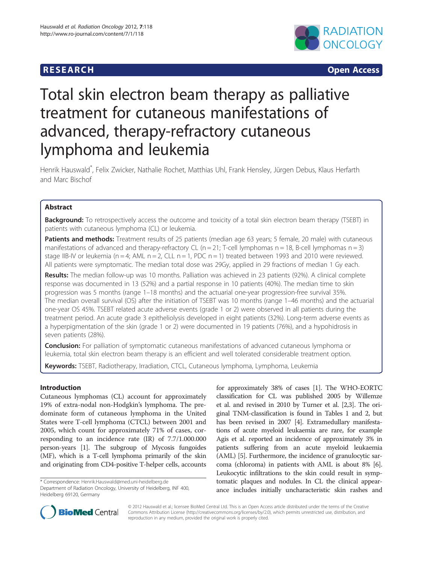# **RESEARCH CHINESE ARCH CHINESE ARCH CHINESE ARCH**



# Total skin electron beam therapy as palliative treatment for cutaneous manifestations of advanced, therapy-refractory cutaneous lymphoma and leukemia

Henrik Hauswald\* , Felix Zwicker, Nathalie Rochet, Matthias Uhl, Frank Hensley, Jürgen Debus, Klaus Herfarth and Marc Bischof

# **Abstract**

Background: To retrospectively access the outcome and toxicity of a total skin electron beam therapy (TSEBT) in patients with cutaneous lymphoma (CL) or leukemia.

Patients and methods: Treatment results of 25 patients (median age 63 years; 5 female, 20 male) with cutaneous manifestations of advanced and therapy-refractory CL (n = 21; T-cell lymphomas n = 18, B-cell lymphomas n = 3) stage IIB-IV or leukemia (n = 4; AML n = 2, CLL n = 1, PDC n = 1) treated between 1993 and 2010 were reviewed. All patients were symptomatic. The median total dose was 29Gy, applied in 29 fractions of median 1 Gy each.

Results: The median follow-up was 10 months. Palliation was achieved in 23 patients (92%). A clinical complete response was documented in 13 (52%) and a partial response in 10 patients (40%). The median time to skin progression was 5 months (range 1–18 months) and the actuarial one-year progression-free survival 35%. The median overall survival (OS) after the initiation of TSEBT was 10 months (range 1–46 months) and the actuarial one-year OS 45%. TSEBT related acute adverse events (grade 1 or 2) were observed in all patients during the treatment period. An acute grade 3 epitheliolysis developed in eight patients (32%). Long-term adverse events as a hyperpigmentation of the skin (grade 1 or 2) were documented in 19 patients (76%), and a hypohidrosis in seven patients (28%).

**Conclusion:** For palliation of symptomatic cutaneous manifestations of advanced cutaneous lymphoma or leukemia, total skin electron beam therapy is an efficient and well tolerated considerable treatment option.

Keywords: TSEBT, Radiotherapy, Irradiation, CTCL, Cutaneous lymphoma, Lymphoma, Leukemia

# Introduction

Cutaneous lymphomas (CL) account for approximately 19% of extra-nodal non-Hodgkin's lymphoma. The predominate form of cutaneous lymphoma in the United States were T-cell lymphoma (CTCL) between 2001 and 2005, which count for approximately 71% of cases, corresponding to an incidence rate (IR) of 7.7/1.000.000 person-years [[1](#page-6-0)]. The subgroup of Mycosis fungoides (MF), which is a T-cell lymphoma primarily of the skin and originating from CD4-positive T-helper cells, accounts

for approximately 38% of cases [[1](#page-6-0)]. The WHO-EORTC classification for CL was published 2005 by Willemze et al. and revised in 2010 by Turner et al. [\[2,3\]](#page-6-0). The original TNM-classification is found in Tables [1](#page-1-0) and [2](#page-1-0), but has been revised in 2007 [[4](#page-6-0)]. Extramedullary manifestations of acute myeloid leukaemia are rare, for example Agis et al. reported an incidence of approximately 3% in patients suffering from an acute myeloid leukaemia (AML) [\[5\]](#page-6-0). Furthermore, the incidence of granulocytic sarcoma (chloroma) in patients with AML is about 8% [[6](#page-6-0)]. Leukocytic infiltrations to the skin could result in symptomatic plaques and nodules. In CL the clinical appearance includes initially uncharacteristic skin rashes and



© 2012 Hauswald et al.; licensee BioMed Central Ltd. This is an Open Access article distributed under the terms of the Creative Commons Attribution License [\(http://creativecommons.org/licenses/by/2.0\)](http://creativecommons.org/licenses/by/2.0), which permits unrestricted use, distribution, and reproduction in any medium, provided the original work is properly cited.

<sup>\*</sup> Correspondence: [Henrik.Hauswald@med.uni-heidelberg.de](mailto:Henrik.Hauswald@med.uni-eidelberg.de)

Department of Radiation Oncology, University of Heidelberg, INF 400, Heidelberg 69120, Germany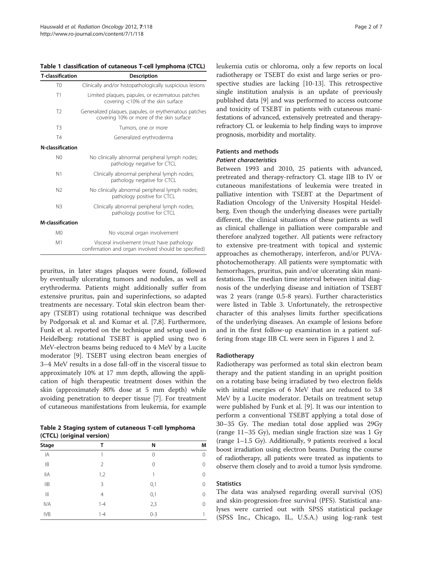<span id="page-1-0"></span>Table 1 classification of cutaneous T-cell lymphoma (CTCL)

| <b>T-classification</b> | Description                                                                                       |  |  |  |  |
|-------------------------|---------------------------------------------------------------------------------------------------|--|--|--|--|
| T <sub>0</sub>          | Clinically and/or histopathologically suspicious lesions                                          |  |  |  |  |
| T1                      | Limited plaques, papules, or eczematous patches<br>covering $<$ 10% of the skin surface           |  |  |  |  |
| T <sub>2</sub>          | Generalized plaques, papules, or erythematous patches<br>covering 10% or more of the skin surface |  |  |  |  |
| T <sub>3</sub>          | Tumors, one or more                                                                               |  |  |  |  |
| T4                      | Generalized erythroderma                                                                          |  |  |  |  |
| N-classification        |                                                                                                   |  |  |  |  |
| N <sub>0</sub>          | No clinically abnormal peripheral lymph nodes;<br>pathology negative for CTCL                     |  |  |  |  |
| N <sub>1</sub>          | Clinically abnormal peripheral lymph nodes;<br>pathology negative for CTCL                        |  |  |  |  |
| N <sub>2</sub>          | No clinically abnormal peripheral lymph nodes;<br>pathology positive for CTCL                     |  |  |  |  |
| N <sub>3</sub>          | Clinically abnormal peripheral lymph nodes;<br>pathology positive for CTCL                        |  |  |  |  |
| M-classification        |                                                                                                   |  |  |  |  |
| M <sub>0</sub>          | No visceral organ involvement                                                                     |  |  |  |  |
| M1                      | Visceral involvement (must have pathology<br>confirmation and organ involved should be specified) |  |  |  |  |

pruritus, in later stages plaques were found, followed by eventually ulcerating tumors and nodules, as well as erythroderma. Patients might additionally suffer from extensive pruritus, pain and superinfections, so adapted treatments are necessary. Total skin electron beam therapy (TSEBT) using rotational technique was described by Podgorsak et al. and Kumar et al. [[7,8\]](#page-6-0). Furthermore, Funk et al. reported on the technique and setup used in Heidelberg: rotational TSEBT is applied using two 6 MeV-electron beams being reduced to 4 MeV by a Lucite moderator [[9\]](#page-6-0). TSEBT using electron beam energies of 3–4 MeV results in a dose fall-off in the visceral tissue to approximately 10% at 17 mm depth, allowing the application of high therapeutic treatment doses within the skin (approximately 80% dose at 5 mm depth) while avoiding penetration to deeper tissue [[7\]](#page-6-0). For treatment of cutaneous manifestations from leukemia, for example

Table 2 Staging system of cutaneous T-cell lymphoma (CTCL) (original version)

| Stage       | Т              | Ν       | M<br>$\Omega$ |
|-------------|----------------|---------|---------------|
| ΙA          | 1              | 0       |               |
| IB          | 2              | 0       | 0             |
| <b>IIA</b>  | 1,2            | 1       | $\Omega$      |
| IIB         | 3              | 0,1     | 0             |
| $\parallel$ | $\overline{4}$ | 0,1     | 0             |
| <b>IVA</b>  | $1 - 4$        | 2,3     | $\Omega$      |
| <b>IVB</b>  | $1 - 4$        | $0 - 3$ |               |

leukemia cutis or chloroma, only a few reports on local radiotherapy or TSEBT do exist and large series or prospective studies are lacking [[10-13\]](#page-6-0). This retrospective single institution analysis is an update of previously published data [\[9](#page-6-0)] and was performed to access outcome and toxicity of TSEBT in patients with cutaneous manifestations of advanced, extensively pretreated and therapyrefractory CL or leukemia to help finding ways to improve prognosis, morbidity and mortality.

# Patients and methods

# Patient characteristics

Between 1993 and 2010, 25 patients with advanced, pretreated and therapy-refractory CL stage IIB to IV or cutaneous manifestations of leukemia were treated in palliative intention with TSEBT at the Department of Radiation Oncology of the University Hospital Heidelberg. Even though the underlying diseases were partially different, the clinical situations of these patients as well as clinical challenge in palliation were comparable and therefore analyzed together. All patients were refractory to extensive pre-treatment with topical and systemic approaches as chemotherapy, interferon, and/or PUVAphotochemotherapy. All patients were symptomatic with hemorrhages, pruritus, pain and/or ulcerating skin manifestations. The median time interval between initial diagnosis of the underlying disease and initiation of TSEBT was 2 years (range 0.5-8 years). Further characteristics were listed in Table [3](#page-2-0). Unfortunately, the retrospective character of this analyses limits further specifications of the underlying diseases. An example of lesions before and in the first follow-up examination in a patient suffering from stage IIB CL were seen in Figures [1](#page-2-0) and [2.](#page-2-0)

# Radiotherapy

Radiotherapy was performed as total skin electron beam therapy and the patient standing in an upright position on a rotating base being irradiated by two electron fields with initial energies of 6 MeV that are reduced to 3.8 MeV by a Lucite moderator. Details on treatment setup were published by Funk et al. [[9\]](#page-6-0). It was our intention to perform a conventional TSEBT applying a total dose of 30–35 Gy. The median total dose applied was 29Gy (range 11–35 Gy), median single fraction size was 1 Gy (range 1–1.5 Gy). Additionally, 9 patients received a local boost irradiation using electron beams. During the course of radiotherapy, all patients were treated as inpatients to observe them closely and to avoid a tumor lysis syndrome.

# **Statistics**

The data was analysed regarding overall survival (OS) and skin-progression-free survival (PFS). Statistical analyses were carried out with SPSS statistical package (SPSS Inc., Chicago, IL, U.S.A.) using log-rank test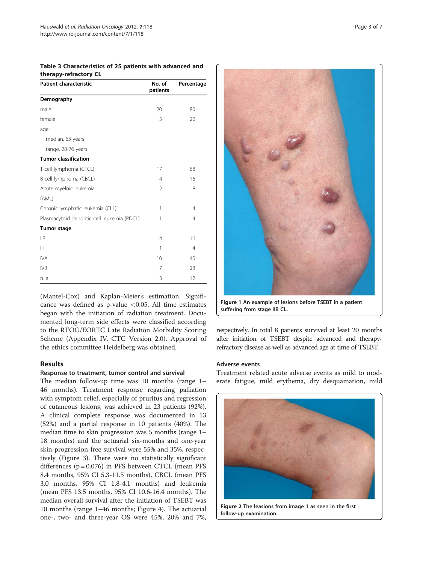| uiciapy-iciiactory cL                       |                    |                |  |  |  |  |
|---------------------------------------------|--------------------|----------------|--|--|--|--|
| <b>Patient characteristic</b>               | No. of<br>patients | Percentage     |  |  |  |  |
| Demography                                  |                    |                |  |  |  |  |
| male                                        | 20                 | 80             |  |  |  |  |
| female                                      | 5                  | 20             |  |  |  |  |
| age:                                        |                    |                |  |  |  |  |
| median, 63 years                            |                    |                |  |  |  |  |
| range, 28-76 years                          |                    |                |  |  |  |  |
| <b>Tumor classification</b>                 |                    |                |  |  |  |  |
| T-cell lymphoma (CTCL)                      | 17                 | 68             |  |  |  |  |
| B-cell lymphoma (CBCL)                      | $\overline{4}$     | 16             |  |  |  |  |
| Acute myeloic leukemia                      | 2                  | 8              |  |  |  |  |
| (AML)                                       |                    |                |  |  |  |  |
| Chronic lymphatic leukemia (CLL)            | 1                  | $\overline{4}$ |  |  |  |  |
| Plasmacytoid dendritic cell leukemia (PDCL) | 1                  | $\overline{4}$ |  |  |  |  |
| <b>Tumor stage</b>                          |                    |                |  |  |  |  |
| IIB                                         | $\overline{4}$     | 16             |  |  |  |  |
| $\mathbf{III}$                              | 1                  | 4              |  |  |  |  |
| <b>IVA</b>                                  | 10                 | 40             |  |  |  |  |
| <b>IVB</b>                                  | 7                  | 28             |  |  |  |  |
| n. a.                                       | 3                  | 12             |  |  |  |  |

<span id="page-2-0"></span>Table 3 Characteristics of 25 patients with advanced and therapy-refractory CL

(Mantel-Cox) and Kaplan-Meier's estimation. Significance was defined as p-value  $<$  0.05. All time estimates began with the initiation of radiation treatment. Documented long-term side effects were classified according to the RTOG/EORTC Late Radiation Morbidity Scoring Scheme (Appendix IV, CTC Version 2.0). Approval of the ethics committee Heidelberg was obtained.

# Results

#### Response to treatment, tumor control and survival

The median follow-up time was 10 months (range 1– 46 months). Treatment response regarding palliation with symptom relief, especially of pruritus and regression of cutaneous lesions, was achieved in 23 patients (92%). A clinical complete response was documented in 13 (52%) and a partial response in 10 patients (40%). The median time to skin progression was 5 months (range 1– 18 months) and the actuarial six-months and one-year skin-progression-free survival were 55% and 35%, respectively (Figure [3](#page-3-0)). There were no statistically significant differences  $(p = 0.076)$  in PFS between CTCL (mean PFS 8.4 months, 95% CI 5.3-11.5 months), CBCL (mean PFS 3.0 months, 95% CI 1.8-4.1 months) and leukemia (mean PFS 13.5 months, 95% CI 10.6-16.4 months). The median overall survival after the initiation of TSEBT was 10 months (range 1–46 months; Figure [4\)](#page-4-0). The actuarial one-, two- and three-year OS were 45%, 20% and 7%,



Figure 1 An example of lesions before TSEBT in a patient suffering from stage IIB CL.

respectively. In total 8 patients survived at least 20 months after initiation of TSEBT despite advanced and therapyrefractory disease as well as advanced age at time of TSEBT.

### Adverse events

Treatment related acute adverse events as mild to moderate fatigue, mild erythema, dry desquamation, mild



Figure 2 The leasions from image 1 as seen in the first follow-up examination.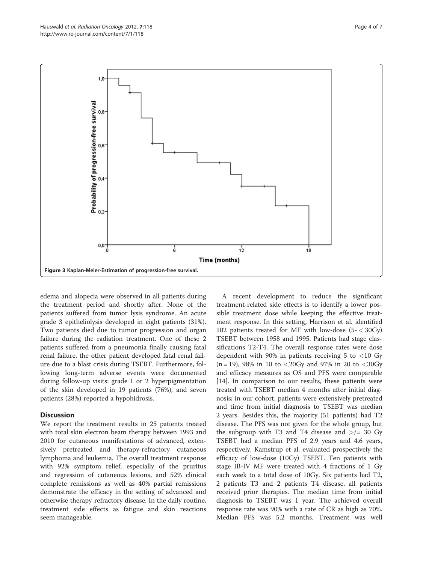<span id="page-3-0"></span>

edema and alopecia were observed in all patients during the treatment period and shortly after. None of the patients suffered from tumor lysis syndrome. An acute grade 3 epitheliolysis developed in eight patients (31%). Two patients died due to tumor progression and organ failure during the radiation treatment. One of these 2 patients suffered from a pneumonia finally causing fatal renal failure, the other patient developed fatal renal failure due to a blast crisis during TSEBT. Furthermore, following long-term adverse events were documented during follow-up visits: grade 1 or 2 hyperpigmentation of the skin developed in 19 patients (76%), and seven patients (28%) reported a hypohidrosis.

# **Discussion**

We report the treatment results in 25 patients treated with total skin electron beam therapy between 1993 and 2010 for cutaneous manifestations of advanced, extensively pretreated and therapy-refractory cutaneous lymphoma and leukemia. The overall treatment response with 92% symptom relief, especially of the pruritus and regression of cutaneous lesions, and 52% clinical complete remissions as well as 40% partial remissions demonstrate the efficacy in the setting of advanced and otherwise therapy-refractory disease. In the daily routine, treatment side effects as fatigue and skin reactions seem manageable.

A recent development to reduce the significant treatment-related side effects is to identify a lower possible treatment dose while keeping the effective treatment response. In this setting, Harrison et al. identified 102 patients treated for MF with low-dose (5- < 30Gy) TSEBT between 1958 and 1995. Patients had stage classifications T2-T4. The overall response rates were dose dependent with 90% in patients receiving 5 to  $\langle 10 \text{ Gy} \rangle$  $(n = 19)$ , 98% in 10 to <20Gy and 97% in 20 to <30Gy and efficacy measures as OS and PFS were comparable [[14\]](#page-6-0). In comparison to our results, these patients were treated with TSEBT median 4 months after initial diagnosis; in our cohort, patients were extensively pretreated and time from initial diagnosis to TSEBT was median 2 years. Besides this, the majority (51 patients) had T2 disease. The PFS was not given for the whole group, but the subgroup with T3 and T4 disease and  $\ge$ /= 30 Gy TSEBT had a median PFS of 2.9 years and 4.6 years, respectively. Kamstrup et al. evaluated prospectively the efficacy of low-dose (10Gy) TSEBT. Ten patients with stage IB-IV MF were treated with 4 fractions of 1 Gy each week to a total dose of 10Gy. Six patients had T2, 2 patients T3 and 2 patients T4 disease, all patients received prior therapies. The median time from initial diagnosis to TSEBT was 1 year. The achieved overall response rate was 90% with a rate of CR as high as 70%. Median PFS was 5.2 months. Treatment was well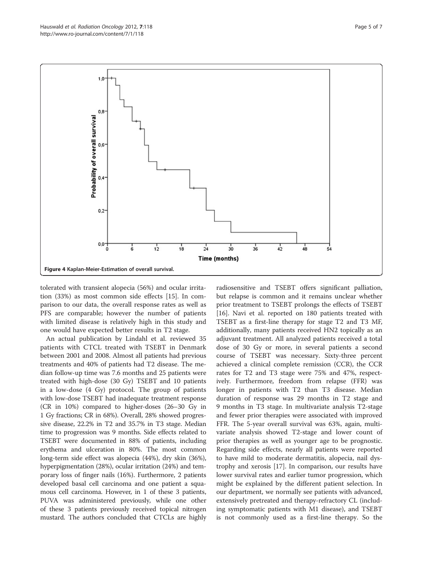<span id="page-4-0"></span>

tolerated with transient alopecia (56%) and ocular irritation (33%) as most common side effects [[15\]](#page-6-0). In comparison to our data, the overall response rates as well as PFS are comparable; however the number of patients with limited disease is relatively high in this study and one would have expected better results in T2 stage.

An actual publication by Lindahl et al. reviewed 35 patients with CTCL treated with TSEBT in Denmark between 2001 and 2008. Almost all patients had previous treatments and 40% of patients had T2 disease. The median follow-up time was 7.6 months and 25 patients were treated with high-dose (30 Gy) TSEBT and 10 patients in a low-dose (4 Gy) protocol. The group of patients with low-dose TSEBT had inadequate treatment response (CR in 10%) compared to higher-doses (26–30 Gy in 1 Gy fractions; CR in 68%). Overall, 28% showed progressive disease, 22.2% in T2 and 35.7% in T3 stage. Median time to progression was 9 months. Side effects related to TSEBT were documented in 88% of patients, including erythema and ulceration in 80%. The most common long-term side effect was alopecia (44%), dry skin (36%), hyperpigmentation (28%), ocular irritation (24%) and temporary loss of finger nails (16%). Furthermore, 2 patients developed basal cell carcinoma and one patient a squamous cell carcinoma. However, in 1 of these 3 patients, PUVA was administered previously, while one other of these 3 patients previously received topical nitrogen mustard. The authors concluded that CTCLs are highly

radiosensitive and TSEBT offers significant palliation, but relapse is common and it remains unclear whether prior treatment to TSEBT prolongs the effects of TSEBT [[16\]](#page-6-0). Navi et al. reported on 180 patients treated with TSEBT as a first-line therapy for stage T2 and T3 MF, additionally, many patients received HN2 topically as an adjuvant treatment. All analyzed patients received a total dose of 30 Gy or more, in several patients a second course of TSEBT was necessary. Sixty-three percent achieved a clinical complete remission (CCR), the CCR rates for T2 and T3 stage were 75% and 47%, respectively. Furthermore, freedom from relapse (FFR) was longer in patients with T2 than T3 disease. Median duration of response was 29 months in T2 stage and 9 months in T3 stage. In multivariate analysis T2-stage and fewer prior therapies were associated with improved FFR. The 5-year overall survival was 63%, again, multivariate analysis showed T2-stage and lower count of prior therapies as well as younger age to be prognostic. Regarding side effects, nearly all patients were reported to have mild to moderate dermatitis, alopecia, nail dystrophy and xerosis [\[17](#page-6-0)]. In comparison, our results have lower survival rates and earlier tumor progression, which might be explained by the different patient selection. In our department, we normally see patients with advanced, extensively pretreated and therapy-refractory CL (including symptomatic patients with M1 disease), and TSEBT is not commonly used as a first-line therapy. So the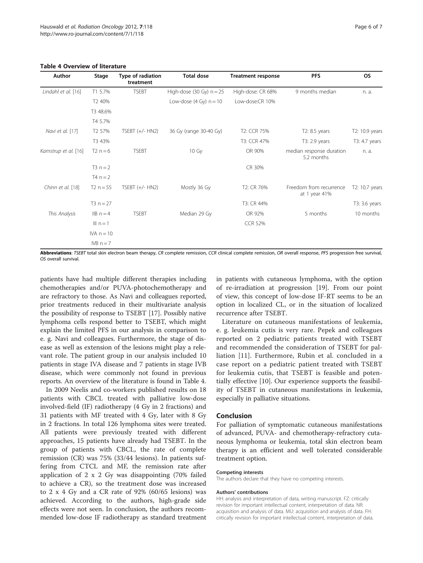#### Table 4 Overview of literature

| Author               | Stage              | Type of radiation<br>treatment | <b>Total dose</b>          | <b>Treatment response</b> | <b>PFS</b>                               | <b>OS</b>      |
|----------------------|--------------------|--------------------------------|----------------------------|---------------------------|------------------------------------------|----------------|
| Lindahl et al. [16]  | T1 5.7%            | <b>TSEBT</b>                   | High-dose (30 Gy) $n = 25$ | High-dose: CR 68%         | 9 months median                          | n. a.          |
|                      | T <sub>2</sub> 40% |                                | Low-dose $(4 Gy) n = 10$   | Low-dose:CR 10%           |                                          |                |
|                      | T3 48.6%           |                                |                            |                           |                                          |                |
|                      | T4 5.7%            |                                |                            |                           |                                          |                |
| Navi et al. [17]     | T <sub>2</sub> 57% | TSEBT $(+/-$ HN2)              | 36 Gy (range 30-40 Gy)     | T <sub>2</sub> : CCR 75%  | T2: 8.5 years                            | T2: 10.9 years |
|                      | T3 43%             |                                |                            | T3: CCR 47%               | T3: 2.9 years                            | T3: 4.7 years  |
| Kamstrup et al. [16] | $T2 n = 6$         | <b>TSEBT</b>                   | 10 Gy                      | OR 90%                    | median response duration<br>5.2 months   | n. a.          |
|                      | $T3 n = 2$         |                                |                            | CR 30%                    |                                          |                |
|                      | $T4 n = 2$         |                                |                            |                           |                                          |                |
| Chinn et al. [18]    | $T2 n = 55$        | TSEBT $(+/-$ HN2)              | Mostly 36 Gy               | T2: CR 76%                | Freedom from recurrence<br>at 1 year 41% | T2: 10.7 years |
|                      | $T3 n = 27$        |                                |                            | T3: CR 44%                |                                          | T3: 3.6 years  |
| This Analysis        | $IB n = 4$         | <b>TSEBT</b>                   | Median 29 Gy               | OR 92%                    | 5 months                                 | 10 months      |
|                      | III $n = 1$        |                                |                            | <b>CCR 52%</b>            |                                          |                |
|                      | $IVA n = 10$       |                                |                            |                           |                                          |                |
|                      | $IVB n = 7$        |                                |                            |                           |                                          |                |

Abbreviations: TSEBT total skin electron beam therapy, CR complete remission, CCR clinical complete remission, OR overall response, PFS progression free survival, OS overall survival.

patients have had multiple different therapies including chemotherapies and/or PUVA-photochemotherapy and are refractory to those. As Navi and colleagues reported, prior treatments reduced in their multivariate analysis the possibility of response to TSEBT [[17](#page-6-0)]. Possibly native lymphoma cells respond better to TSEBT, which might explain the limited PFS in our analysis in comparison to e. g. Navi and colleagues. Furthermore, the stage of disease as well as extension of the lesions might play a relevant role. The patient group in our analysis included 10 patients in stage IVA disease and 7 patients in stage IVB disease, which were commonly not found in previous reports. An overview of the literature is found in Table 4.

In 2009 Neelis and co-workers published results on 18 patients with CBCL treated with palliative low-dose involved-field (IF) radiotherapy (4 Gy in 2 fractions) and 31 patients with MF treated with 4 Gy, later with 8 Gy in 2 fractions. In total 126 lymphoma sites were treated. All patients were previously treated with different approaches, 15 patients have already had TSEBT. In the group of patients with CBCL, the rate of complete remission (CR) was 75% (33/44 lesions). In patients suffering from CTCL and MF, the remission rate after application of 2 x 2 Gy was disappointing (70% failed to achieve a CR), so the treatment dose was increased to  $2 \times 4$  Gy and a CR rate of 92% (60/65 lesions) was achieved. According to the authors, high-grade side effects were not seen. In conclusion, the authors recommended low-dose IF radiotherapy as standard treatment

in patients with cutaneous lymphoma, with the option of re-irradiation at progression [\[19](#page-6-0)]. From our point of view, this concept of low-dose IF-RT seems to be an option in localized CL, or in the situation of localized recurrence after TSEBT.

Literature on cutaneous manifestations of leukemia, e. g. leukemia cutis is very rare. Pepek and colleagues reported on 2 pediatric patients treated with TSEBT and recommended the consideration of TSEBT for palliation [[11\]](#page-6-0). Furthermore, Rubin et al. concluded in a case report on a pediatric patient treated with TSEBT for leukemia cutis, that TSEBT is feasible and potentially effective [\[10](#page-6-0)]. Our experience supports the feasibility of TSEBT in cutaneous manifestations in leukemia, especially in palliative situations.

#### Conclusion

For palliation of symptomatic cutaneous manifestations of advanced, PUVA- and chemotherapy-refractory cutaneous lymphoma or leukemia, total skin electron beam therapy is an efficient and well tolerated considerable treatment option.

#### Competing interests

The authors declare that they have no competing interests.

#### Authors' contributions

HH: analysis and interpretation of data, writing manuscript. FZ: critically revision for important intellectual content, interpretation of data. NR: acquisition and analysis of data. MU: acquisition and analysis of data. FH: critically revision for important intellectual content, interpretation of data.